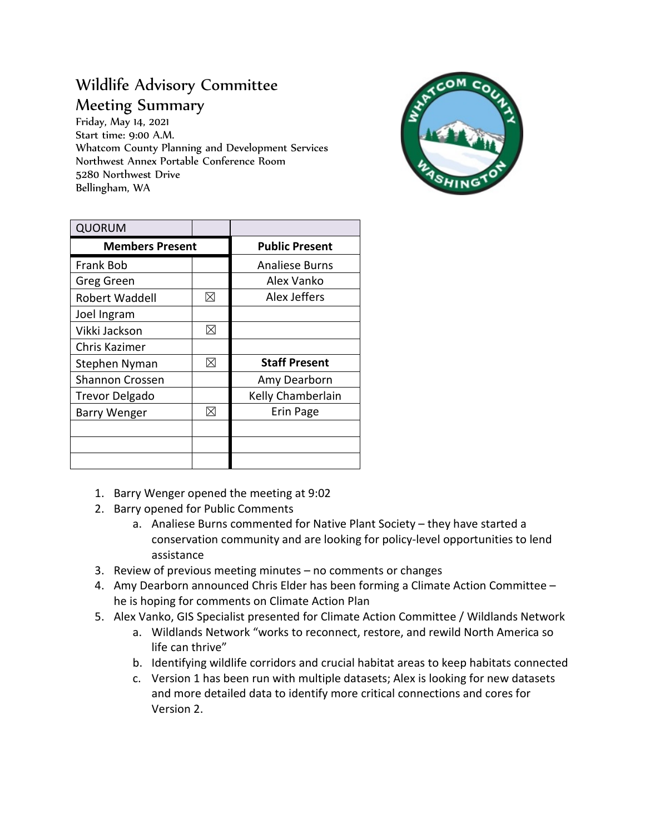## Wildlife Advisory Committee Meeting Summary

Friday, May 14, 2021 Start time: 9:00 A.M. Whatcom County Planning and Development Services Northwest Annex Portable Conference Room 5280 Northwest Drive Bellingham, WA



| <b>QUORUM</b>          |             |                       |
|------------------------|-------------|-----------------------|
| <b>Members Present</b> |             | <b>Public Present</b> |
| <b>Frank Bob</b>       |             | Analiese Burns        |
| Greg Green             |             | Alex Vanko            |
| <b>Robert Waddell</b>  | ⊠           | Alex Jeffers          |
| Joel Ingram            |             |                       |
| Vikki Jackson          | $\boxtimes$ |                       |
| Chris Kazimer          |             |                       |
| Stephen Nyman          | ⊠           | <b>Staff Present</b>  |
| <b>Shannon Crossen</b> |             | Amy Dearborn          |
| <b>Trevor Delgado</b>  |             | Kelly Chamberlain     |
| <b>Barry Wenger</b>    | ⊠           | Erin Page             |
|                        |             |                       |
|                        |             |                       |
|                        |             |                       |

- 1. Barry Wenger opened the meeting at 9:02
- 2. Barry opened for Public Comments
	- a. Analiese Burns commented for Native Plant Society they have started a conservation community and are looking for policy-level opportunities to lend assistance
- 3. Review of previous meeting minutes no comments or changes
- 4. Amy Dearborn announced Chris Elder has been forming a Climate Action Committee he is hoping for comments on Climate Action Plan
- 5. Alex Vanko, GIS Specialist presented for Climate Action Committee / Wildlands Network
	- a. Wildlands Network "works to reconnect, restore, and rewild North America so life can thrive"
	- b. Identifying wildlife corridors and crucial habitat areas to keep habitats connected
	- c. Version 1 has been run with multiple datasets; Alex is looking for new datasets and more detailed data to identify more critical connections and cores for Version 2.